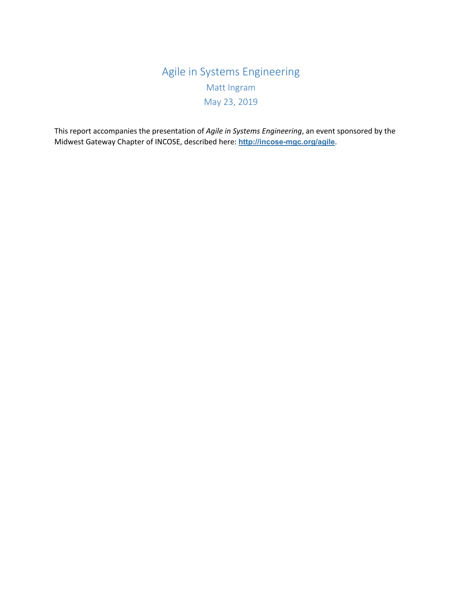# Agile in Systems Engineering Matt Ingram May 23, 2019

This report accompanies the presentation of *Agile in Systems Engineering*, an event sponsored by the Midwest Gateway Chapter of INCOSE, described here: **http://incose-mgc.org/agile**.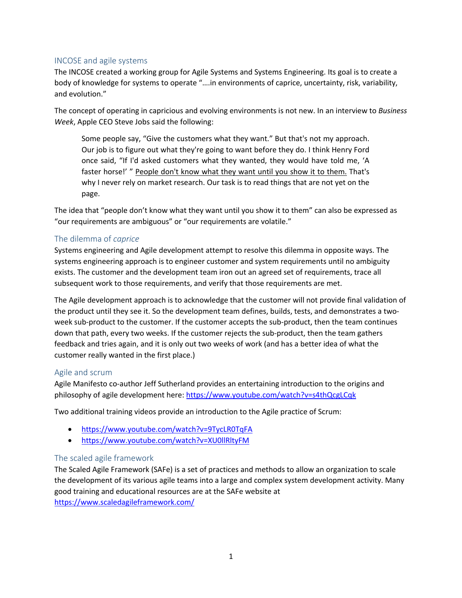## INCOSE and agile systems

The INCOSE created a working group for Agile Systems and Systems Engineering. Its goal is to create a body of knowledge for systems to operate "….in environments of caprice, uncertainty, risk, variability, and evolution."

The concept of operating in capricious and evolving environments is not new. In an interview to *Business Week*, Apple CEO Steve Jobs said the following:

Some people say, "Give the customers what they want." But that's not my approach. Our job is to figure out what they're going to want before they do. I think Henry Ford once said, "If I'd asked customers what they wanted, they would have told me, 'A faster horse!' " People don't know what they want until you show it to them. That's why I never rely on market research. Our task is to read things that are not yet on the page.

The idea that "people don't know what they want until you show it to them" can also be expressed as "our requirements are ambiguous" or "our requirements are volatile."

## The dilemma of *caprice*

Systems engineering and Agile development attempt to resolve this dilemma in opposite ways. The systems engineering approach is to engineer customer and system requirements until no ambiguity exists. The customer and the development team iron out an agreed set of requirements, trace all subsequent work to those requirements, and verify that those requirements are met.

The Agile development approach is to acknowledge that the customer will not provide final validation of the product until they see it. So the development team defines, builds, tests, and demonstrates a twoweek sub-product to the customer. If the customer accepts the sub-product, then the team continues down that path, every two weeks. If the customer rejects the sub-product, then the team gathers feedback and tries again, and it is only out two weeks of work (and has a better idea of what the customer really wanted in the first place.)

### Agile and scrum

Agile Manifesto co-author Jeff Sutherland provides an entertaining introduction to the origins and philosophy of agile development here: https://www.youtube.com/watch?v=s4thQcgLCqk

Two additional training videos provide an introduction to the Agile practice of Scrum:

- https://www.youtube.com/watch?v=9TycLR0TqFA
- https://www.youtube.com/watch?v=XU0llRltyFM

### The scaled agile framework

The Scaled Agile Framework (SAFe) is a set of practices and methods to allow an organization to scale the development of its various agile teams into a large and complex system development activity. Many good training and educational resources are at the SAFe website at

https://www.scaledagileframework.com/